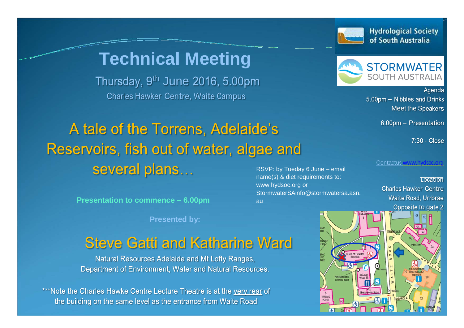

[www.hydsoc.org](http://www.hydsoc.org/) or

[au](mailto:StormwaterSAinfo@stormwatersa.asn.au)

[StormwaterSAinfo@stormwatersa.asn.](mailto:StormwaterSAinfo@stormwatersa.asn.au)

# **Technical Meeting**

Thursday, 9<sup>th</sup> June 2016, 5.00pm **Charles Hawker Centre, Waite Campus** 

### A tale of the Torrens, Adelaide's Reservoirs, fish out of water, algae and several plans... RSVP: by Tueday 6 June – email name(s) & diet requirements to:

**Presentation to commence – 6.00pm**

**Presented by:**

## **Steve Gatti and Katharine Ward**

Natural Resources Adelaide and Mt Lofty Ranges, Department of Environment, Water and Natural Resources.

\*\*\*Note the Charles Hawke Centre Lecture Theatre is at the very rear of the building on the same level as the entrance from Waite Road



Agenda 5.00pm - Nibbles and Drinks **Meet the Speakers** 

6:00pm - Presentation

7:30 - Close

Contactus [www.hydsoc.org](http://www.hydsoc.org/)

**Location Charles Hawker Centre** Waite Road, Urrbrae Opposite to gate 2